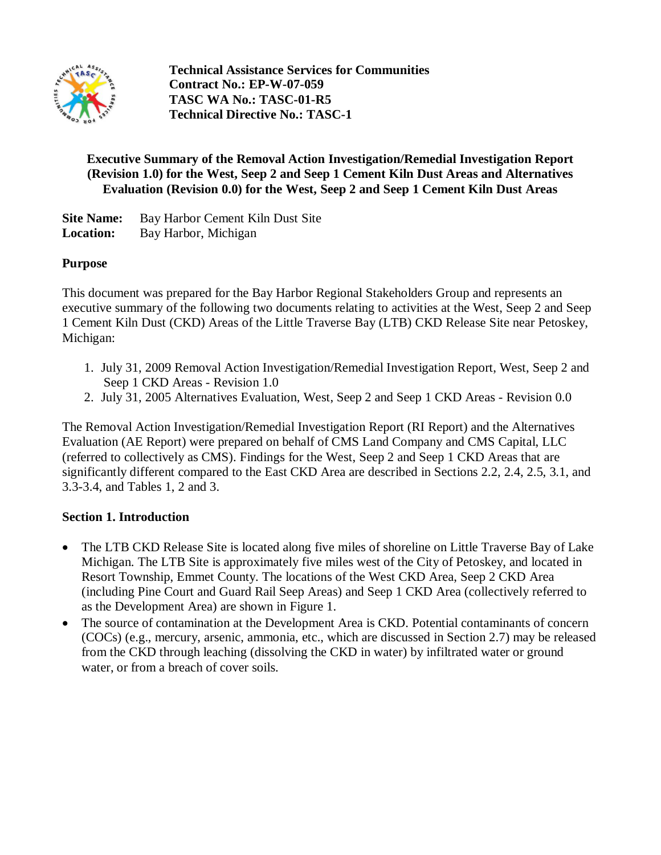

**Technical Assistance Services for Communities Contract No.: EP-W-07-059 TASC WA No.: TASC-01-R5 Technical Directive No.: TASC-1**

### **Executive Summary of the Removal Action Investigation/Remedial Investigation Report (Revision 1.0) for the West, Seep 2 and Seep 1 Cement Kiln Dust Areas and Alternatives Evaluation (Revision 0.0) for the West, Seep 2 and Seep 1 Cement Kiln Dust Areas**

**Site Name:** Bay Harbor Cement Kiln Dust Site **Location:** Bay Harbor, Michigan

### **Purpose**

This document was prepared for the Bay Harbor Regional Stakeholders Group and represents an executive summary of the following two documents relating to activities at the West, Seep 2 and Seep 1 Cement Kiln Dust (CKD) Areas of the Little Traverse Bay (LTB) CKD Release Site near Petoskey, Michigan:

- 1. July 31, 2009 Removal Action Investigation/Remedial Investigation Report, West, Seep 2 and Seep 1 CKD Areas - Revision 1.0
- 2. July 31, 2005 Alternatives Evaluation, West, Seep 2 and Seep 1 CKD Areas Revision 0.0

The Removal Action Investigation/Remedial Investigation Report (RI Report) and the Alternatives Evaluation (AE Report) were prepared on behalf of CMS Land Company and CMS Capital, LLC (referred to collectively as CMS). Findings for the West, Seep 2 and Seep 1 CKD Areas that are significantly different compared to the East CKD Area are described in Sections 2.2, 2.4, 2.5, 3.1, and 3.3-3.4, and Tables 1, 2 and 3.

### **Section 1. Introduction**

- The LTB CKD Release Site is located along five miles of shoreline on Little Traverse Bay of Lake Michigan. The LTB Site is approximately five miles west of the City of Petoskey, and located in Resort Township, Emmet County. The locations of the West CKD Area, Seep 2 CKD Area (including Pine Court and Guard Rail Seep Areas) and Seep 1 CKD Area (collectively referred to as the Development Area) are shown in Figure 1.
- The source of contamination at the Development Area is CKD. Potential contaminants of concern (COCs) (e.g., mercury, arsenic, ammonia, etc., which are discussed in Section 2.7) may be released from the CKD through leaching (dissolving the CKD in water) by infiltrated water or ground water, or from a breach of cover soils.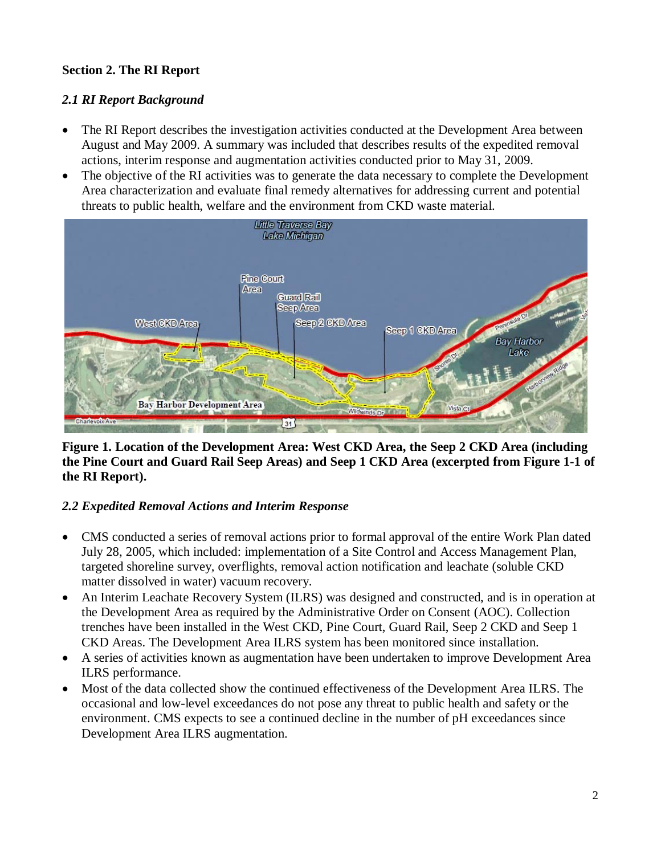## **Section 2. The RI Report**

## *2.1 RI Report Background*

- The RI Report describes the investigation activities conducted at the Development Area between August and May 2009. A summary was included that describes results of the expedited removal actions, interim response and augmentation activities conducted prior to May 31, 2009.
- The objective of the RI activities was to generate the data necessary to complete the Development Area characterization and evaluate final remedy alternatives for addressing current and potential threats to public health, welfare and the environment from CKD waste material.



### **Figure 1. Location of the Development Area: West CKD Area, the Seep 2 CKD Area (including the Pine Court and Guard Rail Seep Areas) and Seep 1 CKD Area (excerpted from Figure 1-1 of the RI Report).**

### *2.2 Expedited Removal Actions and Interim Response*

- CMS conducted a series of removal actions prior to formal approval of the entire Work Plan dated July 28, 2005, which included: implementation of a Site Control and Access Management Plan, targeted shoreline survey, overflights, removal action notification and leachate (soluble CKD matter dissolved in water) vacuum recovery.
- An Interim Leachate Recovery System (ILRS) was designed and constructed, and is in operation at the Development Area as required by the Administrative Order on Consent (AOC). Collection trenches have been installed in the West CKD, Pine Court, Guard Rail, Seep 2 CKD and Seep 1 CKD Areas. The Development Area ILRS system has been monitored since installation.
- A series of activities known as augmentation have been undertaken to improve Development Area ILRS performance.
- Most of the data collected show the continued effectiveness of the Development Area ILRS. The occasional and low-level exceedances do not pose any threat to public health and safety or the environment. CMS expects to see a continued decline in the number of pH exceedances since Development Area ILRS augmentation.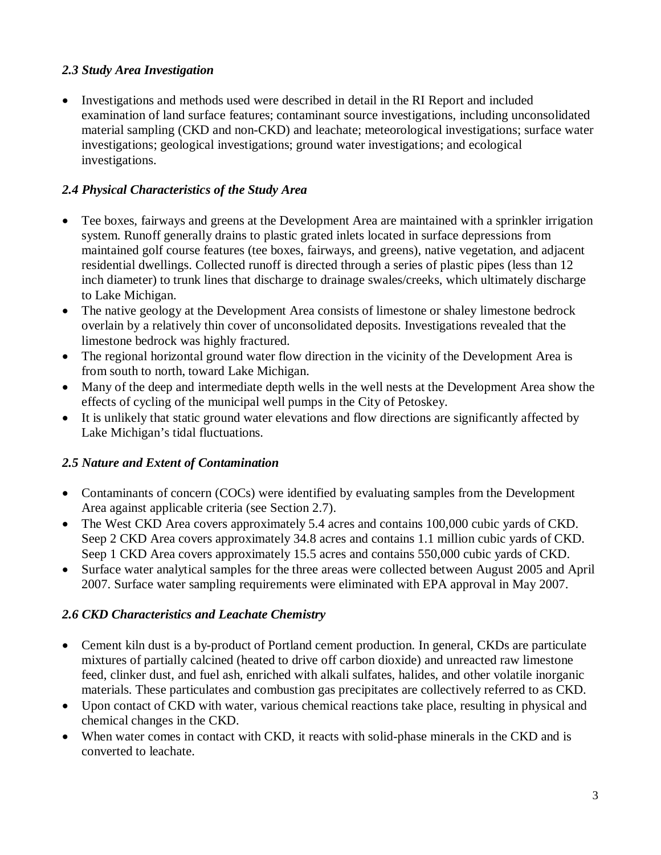### *2.3 Study Area Investigation*

• Investigations and methods used were described in detail in the RI Report and included examination of land surface features; contaminant source investigations, including unconsolidated material sampling (CKD and non-CKD) and leachate; meteorological investigations; surface water investigations; geological investigations; ground water investigations; and ecological investigations.

# *2.4 Physical Characteristics of the Study Area*

- Tee boxes, fairways and greens at the Development Area are maintained with a sprinkler irrigation system. Runoff generally drains to plastic grated inlets located in surface depressions from maintained golf course features (tee boxes, fairways, and greens), native vegetation, and adjacent residential dwellings. Collected runoff is directed through a series of plastic pipes (less than 12 inch diameter) to trunk lines that discharge to drainage swales/creeks, which ultimately discharge to Lake Michigan.
- The native geology at the Development Area consists of limestone or shaley limestone bedrock overlain by a relatively thin cover of unconsolidated deposits. Investigations revealed that the limestone bedrock was highly fractured.
- The regional horizontal ground water flow direction in the vicinity of the Development Area is from south to north, toward Lake Michigan.
- Many of the deep and intermediate depth wells in the well nests at the Development Area show the effects of cycling of the municipal well pumps in the City of Petoskey.
- It is unlikely that static ground water elevations and flow directions are significantly affected by Lake Michigan's tidal fluctuations.

# *2.5 Nature and Extent of Contamination*

- Contaminants of concern (COCs) were identified by evaluating samples from the Development Area against applicable criteria (see Section 2.7).
- The West CKD Area covers approximately 5.4 acres and contains 100,000 cubic vards of CKD. Seep 2 CKD Area covers approximately 34.8 acres and contains 1.1 million cubic yards of CKD. Seep 1 CKD Area covers approximately 15.5 acres and contains 550,000 cubic yards of CKD.
- Surface water analytical samples for the three areas were collected between August 2005 and April 2007. Surface water sampling requirements were eliminated with EPA approval in May 2007.

# *2.6 CKD Characteristics and Leachate Chemistry*

- Cement kiln dust is a by-product of Portland cement production. In general, CKDs are particulate mixtures of partially calcined (heated to drive off carbon dioxide) and unreacted raw limestone feed, clinker dust, and fuel ash, enriched with alkali sulfates, halides, and other volatile inorganic materials. These particulates and combustion gas precipitates are collectively referred to as CKD.
- Upon contact of CKD with water, various chemical reactions take place, resulting in physical and chemical changes in the CKD.
- When water comes in contact with CKD, it reacts with solid-phase minerals in the CKD and is converted to leachate.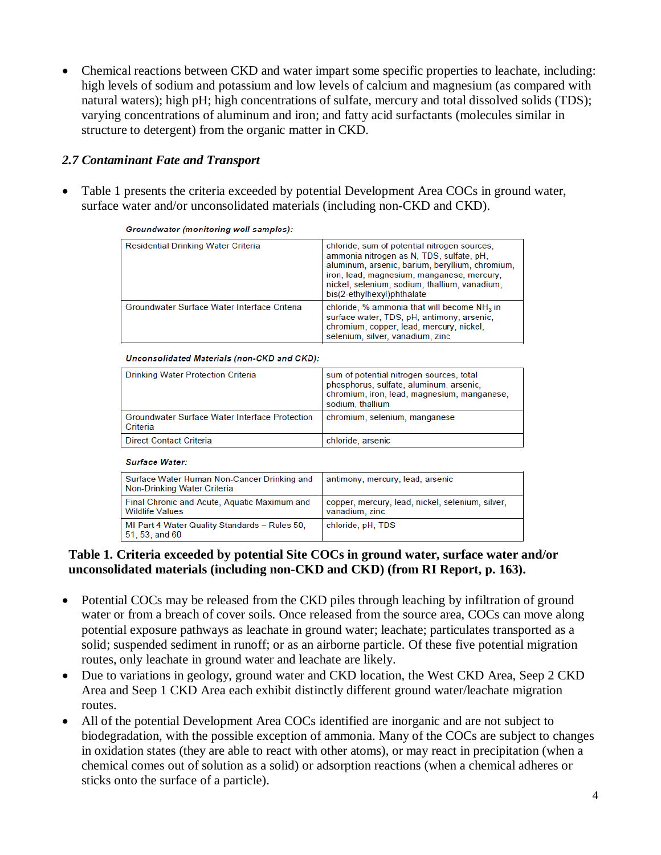• Chemical reactions between CKD and water impart some specific properties to leachate, including: high levels of sodium and potassium and low levels of calcium and magnesium (as compared with natural waters); high pH; high concentrations of sulfate, mercury and total dissolved solids (TDS); varying concentrations of aluminum and iron; and fatty acid surfactants (molecules similar in structure to detergent) from the organic matter in CKD.

### *2.7 Contaminant Fate and Transport*

• Table 1 presents the criteria exceeded by potential Development Area COCs in ground water, surface water and/or unconsolidated materials (including non-CKD and CKD).

| <b>Residential Drinking Water Criteria</b>   | chloride, sum of potential nitrogen sources,<br>ammonia nitrogen as N, TDS, sulfate, pH,<br>aluminum, arsenic, barium, beryllium, chromium,<br>iron, lead, magnesium, manganese, mercury,<br>nickel, selenium, sodium, thallium, vanadium,<br>bis(2-ethylhexyl)phthalate |
|----------------------------------------------|--------------------------------------------------------------------------------------------------------------------------------------------------------------------------------------------------------------------------------------------------------------------------|
| Groundwater Surface Water Interface Criteria | chloride, % ammonia that will become NH <sub>3</sub> in<br>surface water, TDS, pH, antimony, arsenic,<br>chromium, copper, lead, mercury, nickel,<br>selenium, silver, vanadium, zinc                                                                                    |

Groundwater (monitoring well samples):

#### Unconsolidated Materials (non-CKD and CKD):

| <b>Drinking Water Protection Criteria</b>                         | sum of potential nitrogen sources, total<br>phosphorus, sulfate, aluminum, arsenic,<br>chromium, iron, lead, magnesium, manganese,<br>sodium, thallium |
|-------------------------------------------------------------------|--------------------------------------------------------------------------------------------------------------------------------------------------------|
| <b>Groundwater Surface Water Interface Protection</b><br>Criteria | chromium, selenium, manganese                                                                                                                          |
| Direct Contact Criteria                                           | chloride, arsenic                                                                                                                                      |

#### **Surface Water:**

| Surface Water Human Non-Cancer Drinking and<br>Non-Drinking Water Criteria | antimony, mercury, lead, arsenic                                   |
|----------------------------------------------------------------------------|--------------------------------------------------------------------|
| Final Chronic and Acute, Aquatic Maximum and<br><b>Wildlife Values</b>     | copper, mercury, lead, nickel, selenium, silver,<br>vanadium, zinc |
| MI Part 4 Water Quality Standards - Rules 50.<br>51, 53, and 60            | chloride, pH, TDS                                                  |

### **Table 1. Criteria exceeded by potential Site COCs in ground water, surface water and/or unconsolidated materials (including non-CKD and CKD) (from RI Report, p. 163).**

- Potential COCs may be released from the CKD piles through leaching by infiltration of ground water or from a breach of cover soils. Once released from the source area, COCs can move along potential exposure pathways as leachate in ground water; leachate; particulates transported as a solid; suspended sediment in runoff; or as an airborne particle. Of these five potential migration routes, only leachate in ground water and leachate are likely.
- Due to variations in geology, ground water and CKD location, the West CKD Area, Seep 2 CKD Area and Seep 1 CKD Area each exhibit distinctly different ground water/leachate migration routes.
- All of the potential Development Area COCs identified are inorganic and are not subject to biodegradation, with the possible exception of ammonia. Many of the COCs are subject to changes in oxidation states (they are able to react with other atoms), or may react in precipitation (when a chemical comes out of solution as a solid) or adsorption reactions (when a chemical adheres or sticks onto the surface of a particle).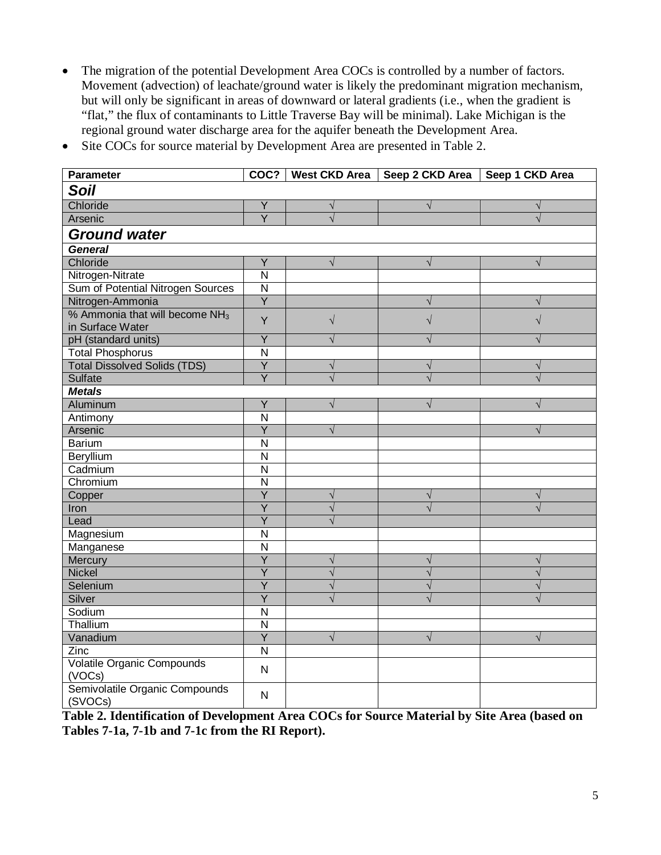- The migration of the potential Development Area COCs is controlled by a number of factors. Movement (advection) of leachate/ground water is likely the predominant migration mechanism, but will only be significant in areas of downward or lateral gradients (i.e., when the gradient is "flat," the flux of contaminants to Little Traverse Bay will be minimal). Lake Michigan is the regional ground water discharge area for the aquifer beneath the Development Area.
- Site COCs for source material by Development Area are presented in Table 2.

| <b>Parameter</b>                                     |                         |           | COC?   West CKD Area   Seep 2 CKD Area   Seep 1 CKD Area |            |
|------------------------------------------------------|-------------------------|-----------|----------------------------------------------------------|------------|
| <b>Soil</b>                                          |                         |           |                                                          |            |
| Chloride                                             | Y                       | $\sqrt{}$ | $\sqrt{}$                                                | $\sqrt{}$  |
| Arsenic                                              | $\overline{Y}$          | $\sqrt{}$ |                                                          | $\sqrt{}$  |
| <b>Ground water</b>                                  |                         |           |                                                          |            |
| <b>General</b>                                       |                         |           |                                                          |            |
| Chloride                                             | $\overline{Y}$          | $\sqrt{}$ | $\sqrt{}$                                                | $\sqrt{}$  |
| Nitrogen-Nitrate                                     | $\overline{\mathsf{N}}$ |           |                                                          |            |
| Sum of Potential Nitrogen Sources                    | $\overline{\mathsf{N}}$ |           |                                                          |            |
| Nitrogen-Ammonia                                     | $\overline{Y}$          |           | $\sqrt{}$                                                | $\sqrt{ }$ |
| % Ammonia that will become $NH3$<br>in Surface Water | Y                       | $\sqrt{}$ | $\sqrt{}$                                                | $\sqrt{}$  |
| pH (standard units)                                  | Y                       |           | V                                                        | $\sqrt{}$  |
| <b>Total Phosphorus</b>                              | $\overline{\mathsf{N}}$ |           |                                                          |            |
| <b>Total Dissolved Solids (TDS)</b>                  | Ÿ                       | $\sqrt{}$ | $\sqrt{}$                                                | $\sqrt{}$  |
| Sulfate                                              | $\overline{Y}$          | $\sqrt{}$ | $\sqrt{}$                                                | $\sqrt{ }$ |
| <b>Metals</b>                                        |                         |           |                                                          |            |
| Aluminum                                             | $\overline{Y}$          |           | V                                                        |            |
| Antimony                                             | $\overline{N}$          |           |                                                          |            |
| Arsenic                                              | $\overline{Y}$          |           |                                                          |            |
| <b>Barium</b>                                        | $\overline{N}$          |           |                                                          |            |
| Beryllium                                            | N                       |           |                                                          |            |
| Cadmium                                              | $\overline{\mathsf{N}}$ |           |                                                          |            |
| Chromium                                             | $\overline{N}$          |           |                                                          |            |
| Copper                                               | $\overline{Y}$          | $\sqrt{}$ | $\sqrt{}$                                                | $\sqrt{}$  |
| Iron                                                 | $\overline{\mathsf{Y}}$ | $\sqrt{}$ | $\sqrt{}$                                                | $\sqrt{ }$ |
| Lead                                                 | $\overline{Y}$          |           |                                                          |            |
| Magnesium                                            | $\overline{N}$          |           |                                                          |            |
| Manganese                                            | $\overline{\mathsf{N}}$ |           |                                                          |            |
| Mercury                                              | $\overline{Y}$          | $\sqrt{}$ | $\sqrt{}$                                                | $\sqrt{}$  |
| <b>Nickel</b>                                        | $\overline{Y}$          | $\sqrt{}$ | $\sqrt{}$                                                | $\sqrt{}$  |
| Selenium                                             | $\overline{Y}$          | $\sqrt{}$ | $\sqrt{}$                                                | $\sqrt{}$  |
| Silver                                               | $\overline{\mathsf{Y}}$ |           |                                                          |            |
| Sodium                                               | $\overline{\mathsf{N}}$ |           |                                                          |            |
| Thallium                                             | N                       |           |                                                          |            |
| Vanadium                                             | $\overline{Y}$          | V         | V                                                        | $\sqrt{}$  |
| Zinc                                                 | $\mathsf{N}$            |           |                                                          |            |
| Volatile Organic Compounds<br>(VOCs)                 | $\mathsf{N}$            |           |                                                          |            |
| Semivolatile Organic Compounds<br>(SVOCs)            | $\mathsf{N}$            |           |                                                          |            |

**Table 2. Identification of Development Area COCs for Source Material by Site Area (based on Tables 7-1a, 7-1b and 7-1c from the RI Report).**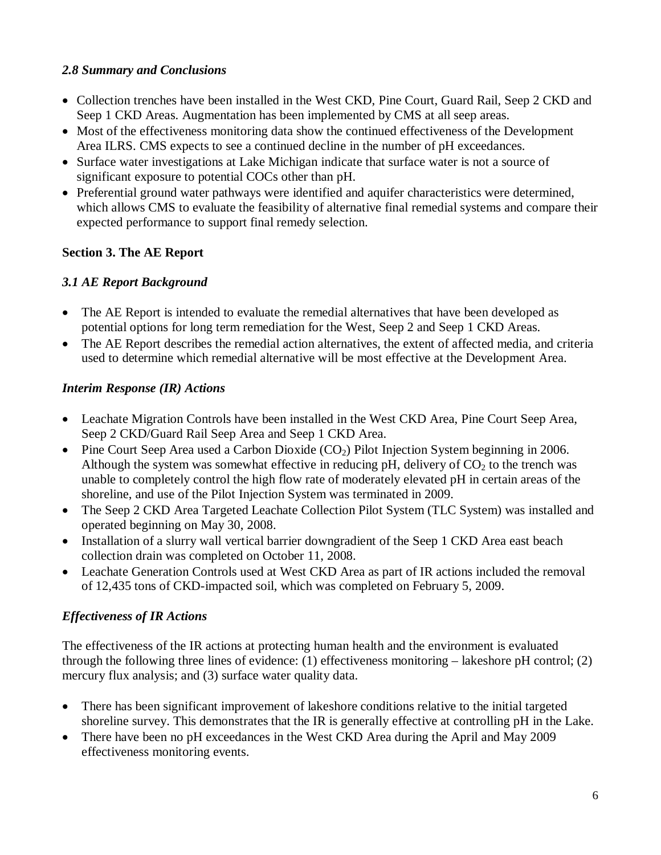## *2.8 Summary and Conclusions*

- Collection trenches have been installed in the West CKD, Pine Court, Guard Rail, Seep 2 CKD and Seep 1 CKD Areas. Augmentation has been implemented by CMS at all seep areas.
- Most of the effectiveness monitoring data show the continued effectiveness of the Development Area ILRS. CMS expects to see a continued decline in the number of pH exceedances.
- Surface water investigations at Lake Michigan indicate that surface water is not a source of significant exposure to potential COCs other than pH.
- Preferential ground water pathways were identified and aquifer characteristics were determined, which allows CMS to evaluate the feasibility of alternative final remedial systems and compare their expected performance to support final remedy selection.

# **Section 3. The AE Report**

# *3.1 AE Report Background*

- The AE Report is intended to evaluate the remedial alternatives that have been developed as potential options for long term remediation for the West, Seep 2 and Seep 1 CKD Areas.
- The AE Report describes the remedial action alternatives, the extent of affected media, and criteria used to determine which remedial alternative will be most effective at the Development Area.

# *Interim Response (IR) Actions*

- Leachate Migration Controls have been installed in the West CKD Area, Pine Court Seep Area, Seep 2 CKD/Guard Rail Seep Area and Seep 1 CKD Area.
- Pine Court Seep Area used a Carbon Dioxide  $(CO_2)$  Pilot Injection System beginning in 2006. Although the system was somewhat effective in reducing pH, delivery of  $CO<sub>2</sub>$  to the trench was unable to completely control the high flow rate of moderately elevated pH in certain areas of the shoreline, and use of the Pilot Injection System was terminated in 2009.
- The Seep 2 CKD Area Targeted Leachate Collection Pilot System (TLC System) was installed and operated beginning on May 30, 2008.
- Installation of a slurry wall vertical barrier downgradient of the Seep 1 CKD Area east beach collection drain was completed on October 11, 2008.
- Leachate Generation Controls used at West CKD Area as part of IR actions included the removal of 12,435 tons of CKD-impacted soil, which was completed on February 5, 2009.

# *Effectiveness of IR Actions*

The effectiveness of the IR actions at protecting human health and the environment is evaluated through the following three lines of evidence: (1) effectiveness monitoring – lakeshore pH control; (2) mercury flux analysis; and (3) surface water quality data.

- There has been significant improvement of lakeshore conditions relative to the initial targeted shoreline survey. This demonstrates that the IR is generally effective at controlling pH in the Lake.
- There have been no pH exceedances in the West CKD Area during the April and May 2009 effectiveness monitoring events.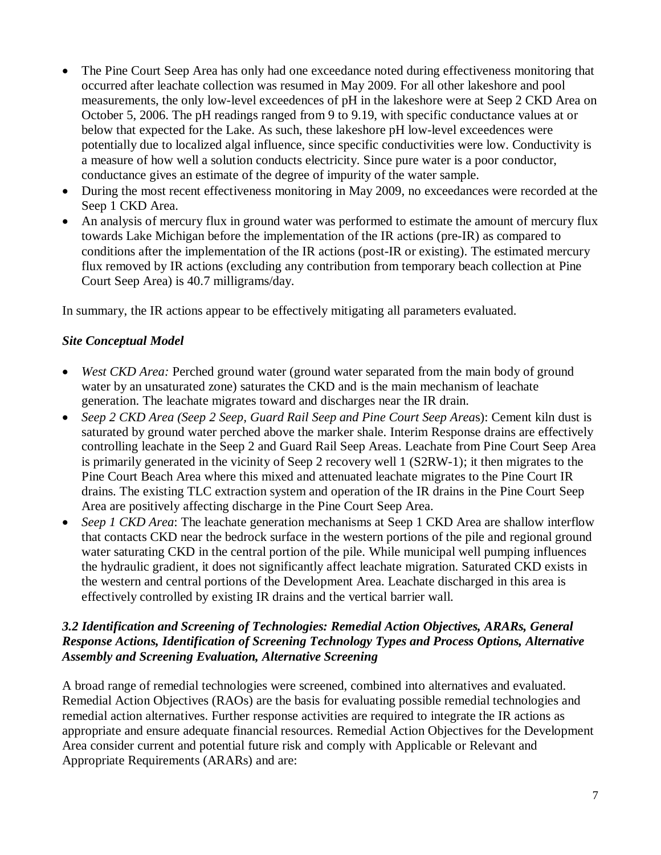- The Pine Court Seep Area has only had one exceedance noted during effectiveness monitoring that occurred after leachate collection was resumed in May 2009. For all other lakeshore and pool measurements, the only low-level exceedences of pH in the lakeshore were at Seep 2 CKD Area on October 5, 2006. The pH readings ranged from 9 to 9.19, with specific conductance values at or below that expected for the Lake. As such, these lakeshore pH low-level exceedences were potentially due to localized algal influence, since specific conductivities were low. Conductivity is a measure of how well a solution conducts electricity. Since pure water is a poor conductor, conductance gives an estimate of the degree of impurity of the water sample.
- During the most recent effectiveness monitoring in May 2009, no exceedances were recorded at the Seep 1 CKD Area.
- An analysis of mercury flux in ground water was performed to estimate the amount of mercury flux towards Lake Michigan before the implementation of the IR actions (pre-IR) as compared to conditions after the implementation of the IR actions (post-IR or existing). The estimated mercury flux removed by IR actions (excluding any contribution from temporary beach collection at Pine Court Seep Area) is 40.7 milligrams/day.

In summary, the IR actions appear to be effectively mitigating all parameters evaluated.

### *Site Conceptual Model*

- *West CKD Area:* Perched ground water (ground water separated from the main body of ground water by an unsaturated zone) saturates the CKD and is the main mechanism of leachate generation. The leachate migrates toward and discharges near the IR drain.
- *Seep 2 CKD Area (Seep 2 Seep, Guard Rail Seep and Pine Court Seep Area*s): Cement kiln dust is saturated by ground water perched above the marker shale. Interim Response drains are effectively controlling leachate in the Seep 2 and Guard Rail Seep Areas. Leachate from Pine Court Seep Area is primarily generated in the vicinity of Seep 2 recovery well 1 (S2RW-1); it then migrates to the Pine Court Beach Area where this mixed and attenuated leachate migrates to the Pine Court IR drains. The existing TLC extraction system and operation of the IR drains in the Pine Court Seep Area are positively affecting discharge in the Pine Court Seep Area.
- *Seep 1 CKD Area*: The leachate generation mechanisms at Seep 1 CKD Area are shallow interflow that contacts CKD near the bedrock surface in the western portions of the pile and regional ground water saturating CKD in the central portion of the pile. While municipal well pumping influences the hydraulic gradient, it does not significantly affect leachate migration. Saturated CKD exists in the western and central portions of the Development Area. Leachate discharged in this area is effectively controlled by existing IR drains and the vertical barrier wall.

### *3.2 Identification and Screening of Technologies: Remedial Action Objectives, ARARs, General Response Actions, Identification of Screening Technology Types and Process Options, Alternative Assembly and Screening Evaluation, Alternative Screening*

A broad range of remedial technologies were screened, combined into alternatives and evaluated. Remedial Action Objectives (RAOs) are the basis for evaluating possible remedial technologies and remedial action alternatives. Further response activities are required to integrate the IR actions as appropriate and ensure adequate financial resources. Remedial Action Objectives for the Development Area consider current and potential future risk and comply with Applicable or Relevant and Appropriate Requirements (ARARs) and are: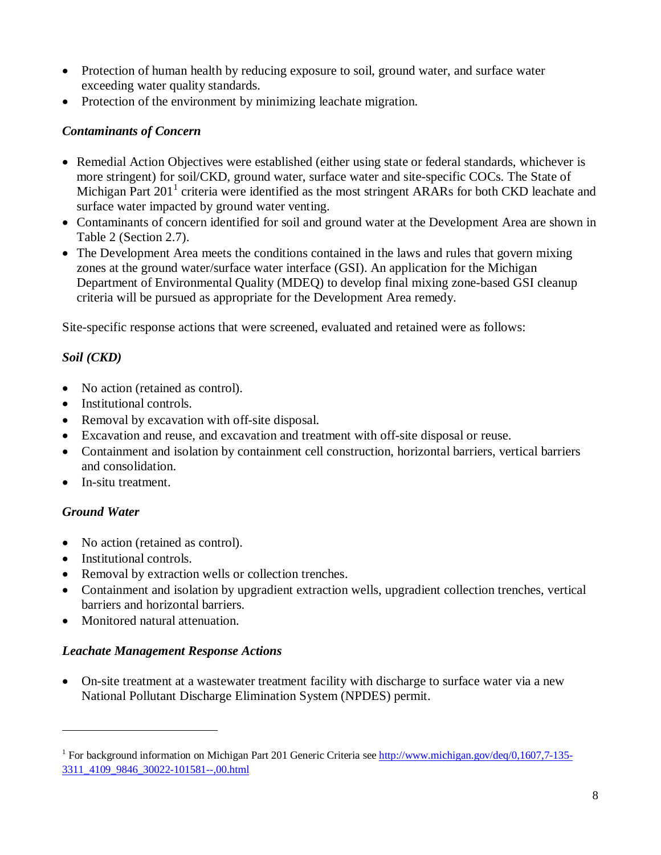- Protection of human health by reducing exposure to soil, ground water, and surface water exceeding water quality standards.
- Protection of the environment by minimizing leachate migration.

# *Contaminants of Concern*

- Remedial Action Objectives were established (either using state or federal standards, whichever is more stringent) for soil/CKD, ground water, surface water and site-specific COCs. The State of Michigan Part 20[1](#page-7-0)<sup>1</sup> criteria were identified as the most stringent ARARs for both CKD leachate and surface water impacted by ground water venting.
- Contaminants of concern identified for soil and ground water at the Development Area are shown in Table 2 (Section 2.7).
- The Development Area meets the conditions contained in the laws and rules that govern mixing zones at the ground water/surface water interface (GSI). An application for the Michigan Department of Environmental Quality (MDEQ) to develop final mixing zone-based GSI cleanup criteria will be pursued as appropriate for the Development Area remedy.

Site-specific response actions that were screened, evaluated and retained were as follows:

# *Soil (CKD)*

- No action (retained as control).
- Institutional controls.
- Removal by excavation with off-site disposal.
- Excavation and reuse, and excavation and treatment with off-site disposal or reuse.
- Containment and isolation by containment cell construction, horizontal barriers, vertical barriers and consolidation.
- In-situ treatment.

# *Ground Water*

l

- No action (retained as control).
- Institutional controls.
- Removal by extraction wells or collection trenches.
- Containment and isolation by upgradient extraction wells, upgradient collection trenches, vertical barriers and horizontal barriers.
- Monitored natural attenuation.

### *Leachate Management Response Actions*

• On-site treatment at a wastewater treatment facility with discharge to surface water via a new National Pollutant Discharge Elimination System (NPDES) permit.

<span id="page-7-0"></span><sup>&</sup>lt;sup>1</sup> For background information on Michigan Part 201 Generic Criteria see [http://www.michigan.gov/deq/0,1607,7-135-](http://www.michigan.gov/deq/0,1607,7-135-3311_4109_9846_30022-101581--,00.html) [3311\\_4109\\_9846\\_30022-101581--,00.html](http://www.michigan.gov/deq/0,1607,7-135-3311_4109_9846_30022-101581--,00.html)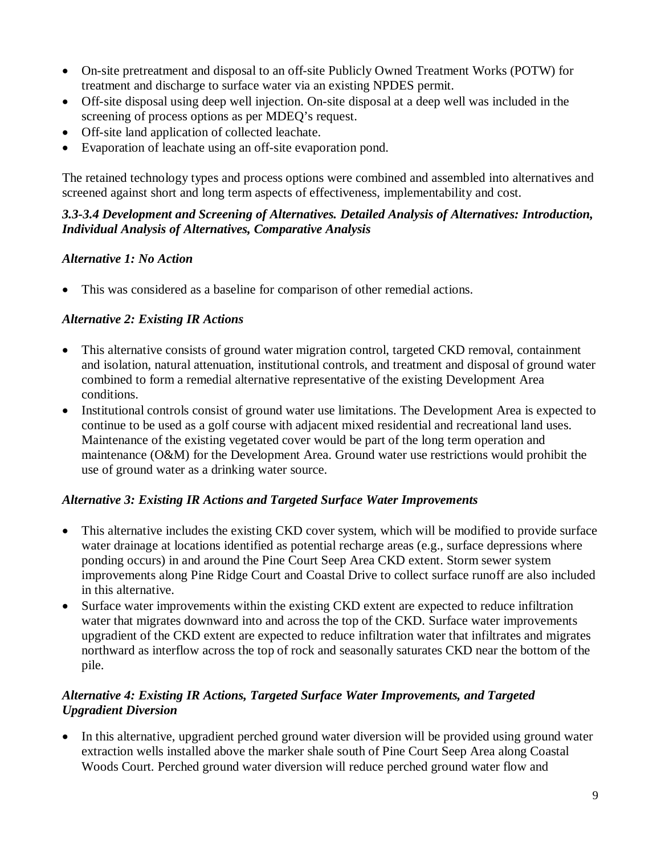- On-site pretreatment and disposal to an off-site Publicly Owned Treatment Works (POTW) for treatment and discharge to surface water via an existing NPDES permit.
- Off-site disposal using deep well injection. On-site disposal at a deep well was included in the screening of process options as per MDEQ's request.
- Off-site land application of collected leachate.
- Evaporation of leachate using an off-site evaporation pond.

The retained technology types and process options were combined and assembled into alternatives and screened against short and long term aspects of effectiveness, implementability and cost.

### *3.3-3.4 Development and Screening of Alternatives. Detailed Analysis of Alternatives: Introduction, Individual Analysis of Alternatives, Comparative Analysis*

### *Alternative 1: No Action*

• This was considered as a baseline for comparison of other remedial actions.

# *Alternative 2: Existing IR Actions*

- This alternative consists of ground water migration control, targeted CKD removal, containment and isolation, natural attenuation, institutional controls, and treatment and disposal of ground water combined to form a remedial alternative representative of the existing Development Area conditions.
- Institutional controls consist of ground water use limitations. The Development Area is expected to continue to be used as a golf course with adjacent mixed residential and recreational land uses. Maintenance of the existing vegetated cover would be part of the long term operation and maintenance (O&M) for the Development Area. Ground water use restrictions would prohibit the use of ground water as a drinking water source.

### *Alternative 3: Existing IR Actions and Targeted Surface Water Improvements*

- This alternative includes the existing CKD cover system, which will be modified to provide surface water drainage at locations identified as potential recharge areas (e.g., surface depressions where ponding occurs) in and around the Pine Court Seep Area CKD extent. Storm sewer system improvements along Pine Ridge Court and Coastal Drive to collect surface runoff are also included in this alternative.
- Surface water improvements within the existing CKD extent are expected to reduce infiltration water that migrates downward into and across the top of the CKD. Surface water improvements upgradient of the CKD extent are expected to reduce infiltration water that infiltrates and migrates northward as interflow across the top of rock and seasonally saturates CKD near the bottom of the pile.

# *Alternative 4: Existing IR Actions, Targeted Surface Water Improvements, and Targeted Upgradient Diversion*

• In this alternative, upgradient perched ground water diversion will be provided using ground water extraction wells installed above the marker shale south of Pine Court Seep Area along Coastal Woods Court. Perched ground water diversion will reduce perched ground water flow and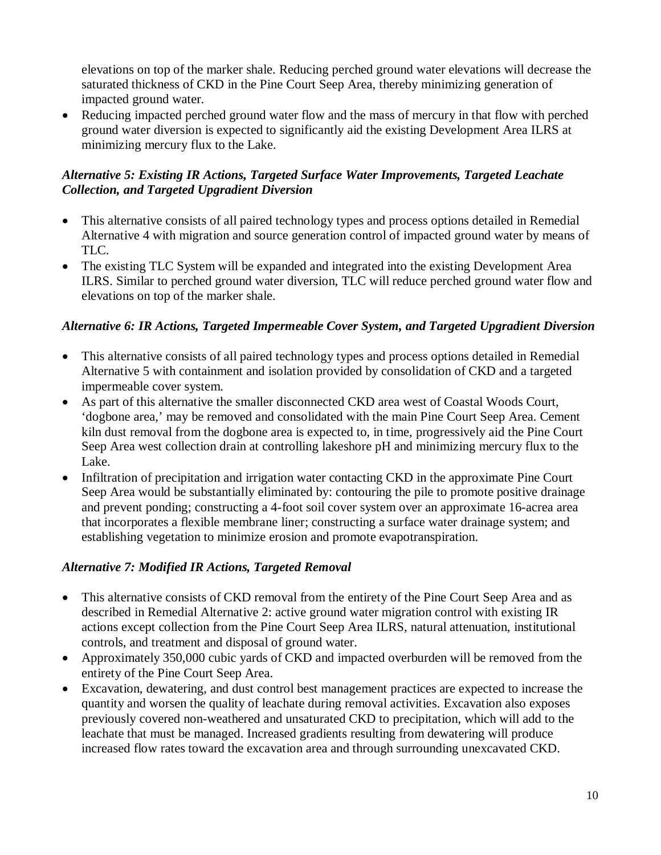elevations on top of the marker shale. Reducing perched ground water elevations will decrease the saturated thickness of CKD in the Pine Court Seep Area, thereby minimizing generation of impacted ground water.

• Reducing impacted perched ground water flow and the mass of mercury in that flow with perched ground water diversion is expected to significantly aid the existing Development Area ILRS at minimizing mercury flux to the Lake.

## *Alternative 5: Existing IR Actions, Targeted Surface Water Improvements, Targeted Leachate Collection, and Targeted Upgradient Diversion*

- This alternative consists of all paired technology types and process options detailed in Remedial Alternative 4 with migration and source generation control of impacted ground water by means of TLC.
- The existing TLC System will be expanded and integrated into the existing Development Area ILRS. Similar to perched ground water diversion, TLC will reduce perched ground water flow and elevations on top of the marker shale.

### *Alternative 6: IR Actions, Targeted Impermeable Cover System, and Targeted Upgradient Diversion*

- This alternative consists of all paired technology types and process options detailed in Remedial Alternative 5 with containment and isolation provided by consolidation of CKD and a targeted impermeable cover system.
- As part of this alternative the smaller disconnected CKD area west of Coastal Woods Court, 'dogbone area,' may be removed and consolidated with the main Pine Court Seep Area. Cement kiln dust removal from the dogbone area is expected to, in time, progressively aid the Pine Court Seep Area west collection drain at controlling lakeshore pH and minimizing mercury flux to the Lake.
- Infiltration of precipitation and irrigation water contacting CKD in the approximate Pine Court Seep Area would be substantially eliminated by: contouring the pile to promote positive drainage and prevent ponding; constructing a 4-foot soil cover system over an approximate 16-acrea area that incorporates a flexible membrane liner; constructing a surface water drainage system; and establishing vegetation to minimize erosion and promote evapotranspiration.

# *Alternative 7: Modified IR Actions, Targeted Removal*

- This alternative consists of CKD removal from the entirety of the Pine Court Seep Area and as described in Remedial Alternative 2: active ground water migration control with existing IR actions except collection from the Pine Court Seep Area ILRS, natural attenuation, institutional controls, and treatment and disposal of ground water.
- Approximately 350,000 cubic yards of CKD and impacted overburden will be removed from the entirety of the Pine Court Seep Area.
- Excavation, dewatering, and dust control best management practices are expected to increase the quantity and worsen the quality of leachate during removal activities. Excavation also exposes previously covered non-weathered and unsaturated CKD to precipitation, which will add to the leachate that must be managed. Increased gradients resulting from dewatering will produce increased flow rates toward the excavation area and through surrounding unexcavated CKD.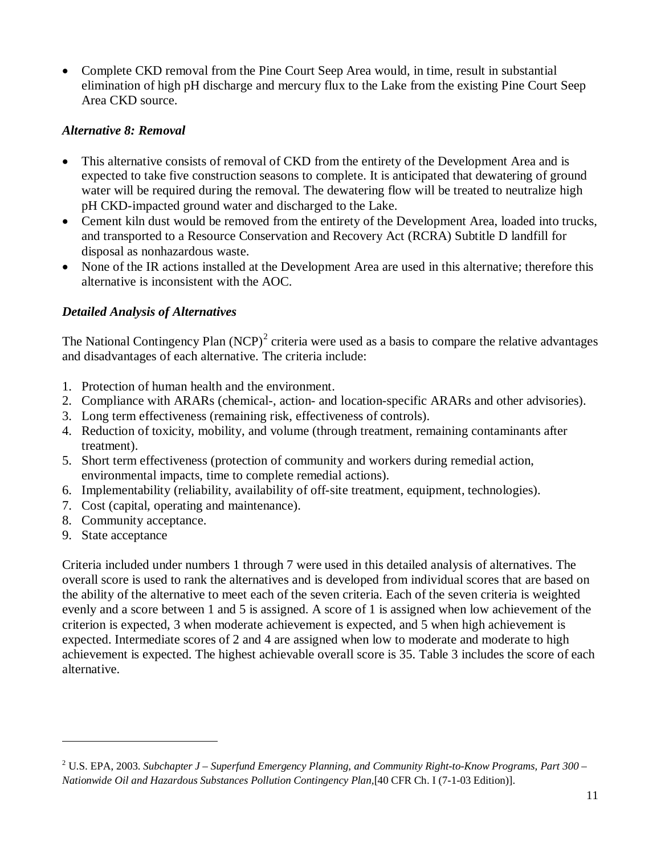• Complete CKD removal from the Pine Court Seep Area would, in time, result in substantial elimination of high pH discharge and mercury flux to the Lake from the existing Pine Court Seep Area CKD source.

### *Alternative 8: Removal*

- This alternative consists of removal of CKD from the entirety of the Development Area and is expected to take five construction seasons to complete. It is anticipated that dewatering of ground water will be required during the removal. The dewatering flow will be treated to neutralize high pH CKD-impacted ground water and discharged to the Lake.
- Cement kiln dust would be removed from the entirety of the Development Area, loaded into trucks, and transported to a Resource Conservation and Recovery Act (RCRA) Subtitle D landfill for disposal as nonhazardous waste.
- None of the IR actions installed at the Development Area are used in this alternative; therefore this alternative is inconsistent with the AOC.

### *Detailed Analysis of Alternatives*

The National Contingency Plan  $(NCP)^2$  $(NCP)^2$  criteria were used as a basis to compare the relative advantages and disadvantages of each alternative. The criteria include:

- 1. Protection of human health and the environment.
- 2. Compliance with ARARs (chemical-, action- and location-specific ARARs and other advisories).
- 3. Long term effectiveness (remaining risk, effectiveness of controls).
- 4. Reduction of toxicity, mobility, and volume (through treatment, remaining contaminants after treatment).
- 5. Short term effectiveness (protection of community and workers during remedial action, environmental impacts, time to complete remedial actions).
- 6. Implementability (reliability, availability of off-site treatment, equipment, technologies).
- 7. Cost (capital, operating and maintenance).
- 8. Community acceptance.
- 9. State acceptance

l

Criteria included under numbers 1 through 7 were used in this detailed analysis of alternatives. The overall score is used to rank the alternatives and is developed from individual scores that are based on the ability of the alternative to meet each of the seven criteria. Each of the seven criteria is weighted evenly and a score between 1 and 5 is assigned. A score of 1 is assigned when low achievement of the criterion is expected, 3 when moderate achievement is expected, and 5 when high achievement is expected. Intermediate scores of 2 and 4 are assigned when low to moderate and moderate to high achievement is expected. The highest achievable overall score is 35. Table 3 includes the score of each alternative.

<span id="page-10-0"></span><sup>2</sup> U.S. EPA, 2003. *Subchapter J – Superfund Emergency Planning, and Community Right-to-Know Programs, Part 300 – Nationwide Oil and Hazardous Substances Pollution Contingency Plan,*[40 CFR Ch. I (7-1-03 Edition)].